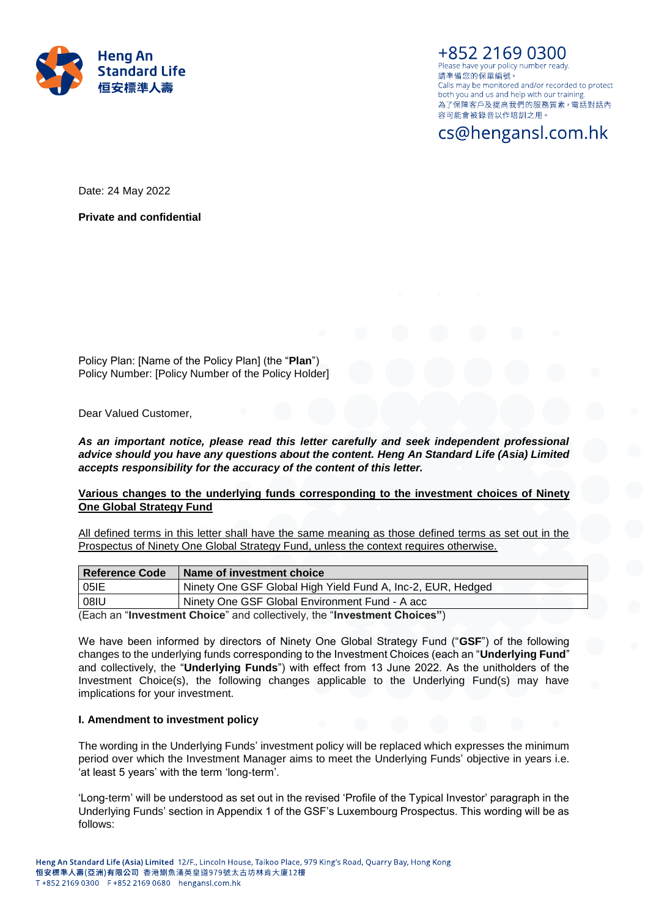

+852 2169 0300 Please have your policy number ready. 請凖備您的保單編號。 Calls may be monitored and/or recorded to protect both you and us and help with our training. 為了保障客戶及提高我們的服務質素, 電話對話內 容可能會被錄音以作培訓之用。

cs@hengansl.com.hk

Date: 24 May 2022

**Private and confidential**

Policy Plan: [Name of the Policy Plan] (the "**Plan**") Policy Number: [Policy Number of the Policy Holder]

Dear Valued Customer,

## *As an important notice, please read this letter carefully and seek independent professional advice should you have any questions about the content. Heng An Standard Life (Asia) Limited accepts responsibility for the accuracy of the content of this letter.*

## **Various changes to the underlying funds corresponding to the investment choices of Ninety One Global Strategy Fund**

All defined terms in this letter shall have the same meaning as those defined terms as set out in the Prospectus of Ninety One Global Strategy Fund, unless the context requires otherwise.

| Reference Code                                                           | Name of investment choice                                   |  |
|--------------------------------------------------------------------------|-------------------------------------------------------------|--|
| 05IE                                                                     | Ninety One GSF Global High Yield Fund A, Inc-2, EUR, Hedged |  |
| 08IU<br>Ninety One GSF Global Environment Fund - A acc                   |                                                             |  |
| (Each an "Investment Choice" and collectively, the "Investment Choices") |                                                             |  |

(Each an "**Investment Choice**" and collectively, the "**Investment Choices"**)

We have been informed by directors of Ninety One Global Strategy Fund ("**GSF**") of the following changes to the underlying funds corresponding to the Investment Choices (each an "**Underlying Fund**" and collectively, the "**Underlying Funds**") with effect from 13 June 2022. As the unitholders of the Investment Choice(s), the following changes applicable to the Underlying Fund(s) may have implications for your investment.

### **I. Amendment to investment policy**

The wording in the Underlying Funds' investment policy will be replaced which expresses the minimum period over which the Investment Manager aims to meet the Underlying Funds' objective in years i.e. 'at least 5 years' with the term 'long-term'.

'Long-term' will be understood as set out in the revised 'Profile of the Typical Investor' paragraph in the Underlying Funds' section in Appendix 1 of the GSF's Luxembourg Prospectus. This wording will be as follows: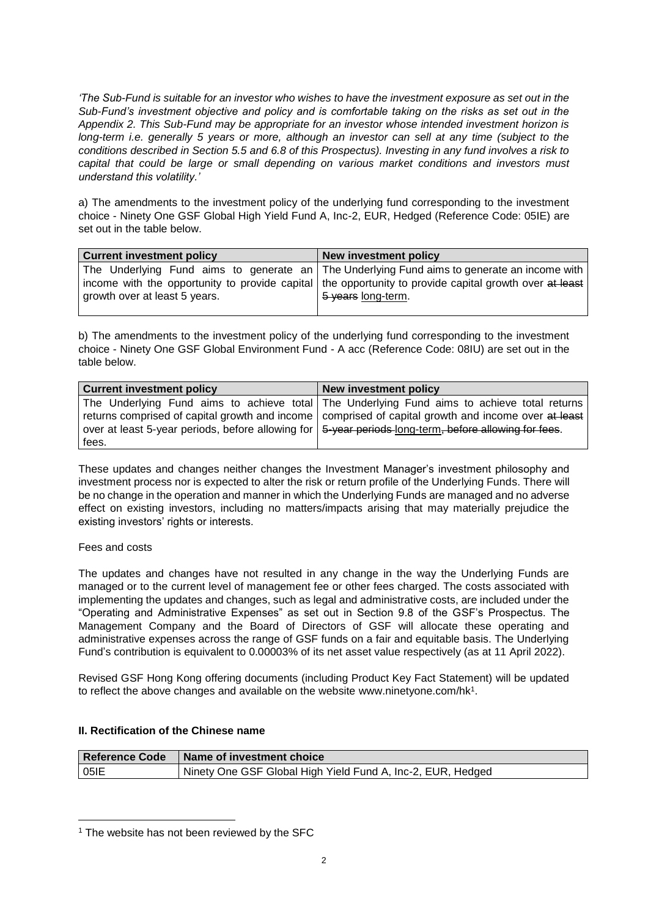*'The Sub-Fund is suitable for an investor who wishes to have the investment exposure as set out in the Sub-Fund's investment objective and policy and is comfortable taking on the risks as set out in the Appendix 2. This Sub-Fund may be appropriate for an investor whose intended investment horizon is long-term i.e. generally 5 years or more, although an investor can sell at any time (subject to the conditions described in Section 5.5 and 6.8 of this Prospectus). Investing in any fund involves a risk to capital that could be large or small depending on various market conditions and investors must understand this volatility.'*

a) The amendments to the investment policy of the underlying fund corresponding to the investment choice - Ninety One GSF Global High Yield Fund A, Inc-2, EUR, Hedged (Reference Code: 05IE) are set out in the table below.

| <b>Current investment policy</b> | New investment policy                                                                                    |
|----------------------------------|----------------------------------------------------------------------------------------------------------|
|                                  | The Underlying Fund aims to generate an   The Underlying Fund aims to generate an income with            |
|                                  | income with the opportunity to provide capital   the opportunity to provide capital growth over at least |
|                                  | 5 years long-term.                                                                                       |
| growth over at least 5 years.    |                                                                                                          |

b) The amendments to the investment policy of the underlying fund corresponding to the investment choice - Ninety One GSF Global Environment Fund - A acc (Reference Code: 08IU) are set out in the table below.

| <b>Current investment policy</b> | <b>New investment policy</b>                                                                                        |
|----------------------------------|---------------------------------------------------------------------------------------------------------------------|
|                                  | The Underlying Fund aims to achieve total The Underlying Fund aims to achieve total returns                         |
|                                  | returns comprised of capital growth and income comprised of capital growth and income over at least                 |
|                                  | over at least 5-year periods, before allowing for $\frac{1}{2}$ + year periods long-term, before allowing for fees. |
| fees.                            |                                                                                                                     |

These updates and changes neither changes the Investment Manager's investment philosophy and investment process nor is expected to alter the risk or return profile of the Underlying Funds. There will be no change in the operation and manner in which the Underlying Funds are managed and no adverse effect on existing investors, including no matters/impacts arising that may materially prejudice the existing investors' rights or interests.

## Fees and costs

l

The updates and changes have not resulted in any change in the way the Underlying Funds are managed or to the current level of management fee or other fees charged. The costs associated with implementing the updates and changes, such as legal and administrative costs, are included under the "Operating and Administrative Expenses" as set out in Section 9.8 of the GSF's Prospectus. The Management Company and the Board of Directors of GSF will allocate these operating and administrative expenses across the range of GSF funds on a fair and equitable basis. The Underlying Fund's contribution is equivalent to 0.00003% of its net asset value respectively (as at 11 April 2022).

Revised GSF Hong Kong offering documents (including Product Key Fact Statement) will be updated to reflect the above changes and available on the website [www.ninetyone.com/hk](http://www.ninetyone.com/hk*)<sup>1</sup>.

## **II. Rectification of the Chinese name**

| Reference Code | <b>Name of investment choice</b>                            |  |
|----------------|-------------------------------------------------------------|--|
| 05IE           | Ninety One GSF Global High Yield Fund A, Inc-2, EUR, Hedged |  |

<sup>&</sup>lt;sup>1</sup> The website has not been reviewed by the SFC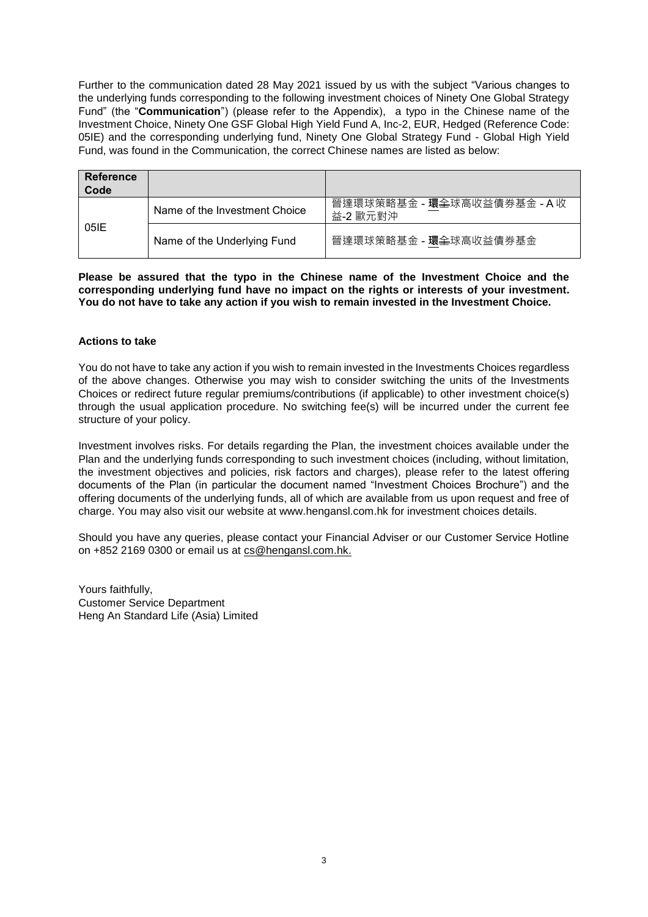Further to the communication dated 28 May 2021 issued by us with the subject "Various changes to the underlying funds corresponding to the following investment choices of Ninety One Global Strategy Fund" (the "**Communication**") (please refer to the Appendix), a typo in the Chinese name of the Investment Choice, Ninety One GSF Global High Yield Fund A, Inc-2, EUR, Hedged (Reference Code: 05IE) and the corresponding underlying fund, Ninety One Global Strategy Fund - Global High Yield Fund, was found in the Communication, the correct Chinese names are listed as below:

| Reference<br>Code |                               |                                         |
|-------------------|-------------------------------|-----------------------------------------|
| 05IE              | Name of the Investment Choice | 晉達環球策略基金 - 環全球高收益債券基金 - A 收<br>益-2 歐元對沖 |
|                   | Name of the Underlying Fund   | 晉達環球策略基金 - 環全球高收益債券基金                   |

**Please be assured that the typo in the Chinese name of the Investment Choice and the corresponding underlying fund have no impact on the rights or interests of your investment. You do not have to take any action if you wish to remain invested in the Investment Choice.**

## **Actions to take**

You do not have to take any action if you wish to remain invested in the Investments Choices regardless of the above changes. Otherwise you may wish to consider switching the units of the Investments Choices or redirect future regular premiums/contributions (if applicable) to other investment choice(s) through the usual application procedure. No switching fee(s) will be incurred under the current fee structure of your policy.

Investment involves risks. For details regarding the Plan, the investment choices available under the Plan and the underlying funds corresponding to such investment choices (including, without limitation, the investment objectives and policies, risk factors and charges), please refer to the latest offering documents of the Plan (in particular the document named "Investment Choices Brochure") and the offering documents of the underlying funds, all of which are available from us upon request and free of charge. You may also visit our website at www.hengansl.com.hk for investment choices details.

Should you have any queries, please contact your Financial Adviser or our Customer Service Hotline on +852 2169 0300 or email us at [cs@hengansl.com.hk.](mailto:cs@hengansl.com.hk)

Yours faithfully, Customer Service Department Heng An Standard Life (Asia) Limited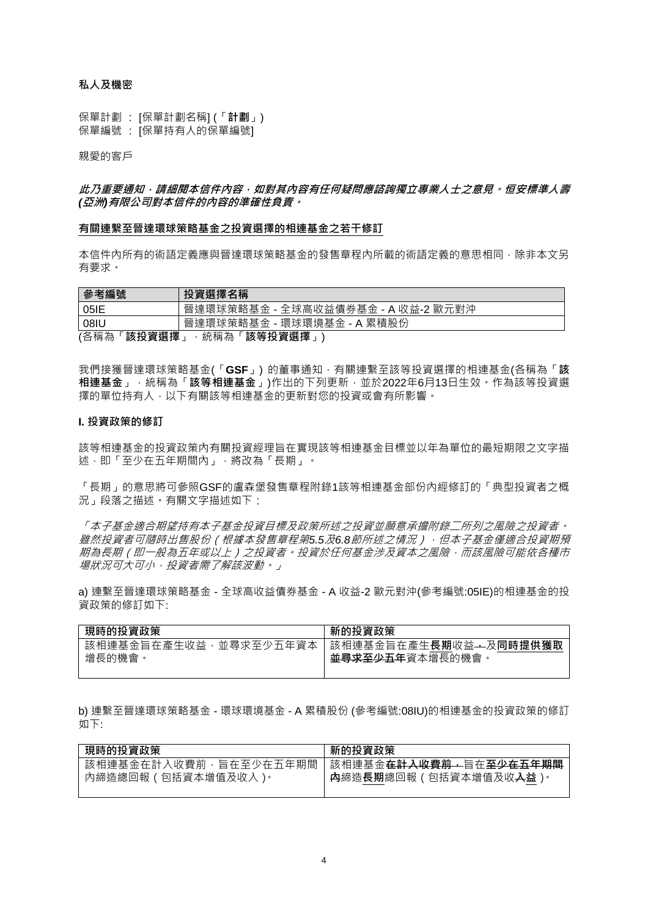## **私人及機密**

保單計劃 : [保單計劃名稱] (「**計劃**」) 保單編號 : [保單持有人的保單編號]

親愛的客戶

## **此乃重要通知,請細閱本信件內容,如對其內容有任何疑問應諮詢獨立專業人士之意見。恒安標準人壽** *(***亞洲***)***有限公司對本信件的內容的準確性負責。**

#### **有關連繫至晉達環球策略基金之投資選擇的相連基金之若干修訂**

本信件內所有的術語定義應與晉達環球策略基金的發售章程內所載的術語定義的意思相同,除非本文另 有要求。

| 參考編號                             | 投資選擇名稱                             |  |
|----------------------------------|------------------------------------|--|
| 05IE                             | 晉達環球策略基金 - 全球高收益債券基金 - A 收益-2 歐元對沖 |  |
| 08IU                             | 晉達環球策略基金 - 環球環境基金 - A 累積股份         |  |
| (各稱為<br>該投資選擇<br>「該等投資選擇」<br>統稱為 |                                    |  |

我們接獲晉達環球策略基金(「**GSF**」) 的董事通知,有關連繫至該等投資選擇的相連基金(各稱為「**該 相連基金**」,統稱為「**該等相連基金**」)作出的下列更新,並於2022年6月13日生效。作為該等投資選 擇的單位持有人,以下有關該等相連基金的更新對您的投資或會有所影響。

#### **I. 投資政策的修訂**

該等相連基金的投資政策內有關投資經理旨在實現該等相連基金目標並以年為單位的最短期限之文字描 述,即「至少在五年期間內」,將改為「長期」。

「長期」的意思將可參照GSF的盧森堡發售章程附錄1該等相連基金部份內經修訂的「典型投資者之概 況」段落之描述。有關文字描述如下:

「本子基金適合期望持有本子基金投資目標及政策所述之投資並願意承擔附錄二所列之風險之投資者。 *雖然投資者可隨時出售股份(根據本發售章程第5.5及6.8節所述之情況),但本子基金僅適合投資期預* 期為長期(即一般為五年或以上)之投資者。投資於任何基金涉及資本之風險,而該風險可能依各種市 場狀況可大可小,投資者需了解該波動。」

a) 連繫至晉達環球策略基金 - 全球高收益債券基金 - A 收益-2 歐元對沖(參考編號:05IE)的相連基金的投 資政策的修訂如下:

| 現時的投資政策                | 新的投資政策                 |
|------------------------|------------------------|
| 該相連基金旨在產生收益,並尋求至少五年資本丨 | 該相連基金旨在產生長期收益—及同時提供獲取  |
| 增長的機會                  | <b>並尋求至少五年</b> 資本增長的機會 |

b) 連繫至晉達環球策略基金 - 環球環境基金 - A 累積股份 (參考編號:08IU)的相連基金的投資政策的修訂 如下:

| 現時的投資政策               | 新的投資政策                                         |
|-----------------------|------------------------------------------------|
| 該相連基金在計入收費前,旨在至少在五年期間 | 該相連基金 <del>在計入收費前,</del> 旨在 <del>至少在五年期間</del> |
| 內締造總回報 ( 包括資本增值及收入 )。 | A   <b>内</b> 締造 <b>長期</b> 總回報(包括資本增值及收入益)。     |
|                       |                                                |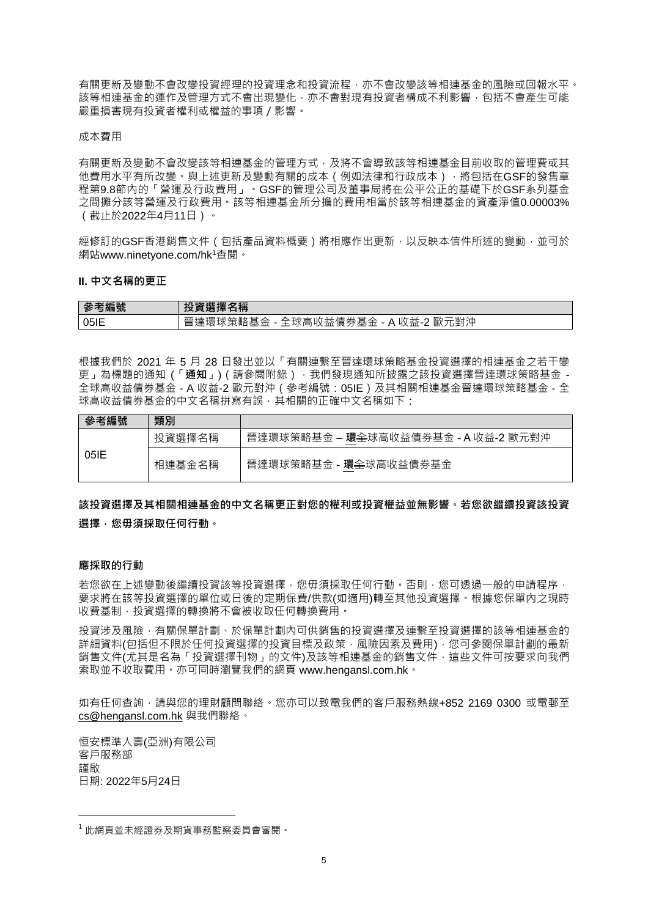有關更新及變動不會改變投資經理的投資理念和投資流程,亦不會改變該等相連基金的風險或回報水平。 該等相連基金的運作及管理方式不會出現變化,亦不會對現有投資者構成不利影響,包括不會產生可能 嚴重損害現有投資者權利或權益的事項/影響。

#### 成本費用

有關更新及變動不會改變該等相連基金的管理方式,及將不會導致該等相連基金目前收取的管理費或其 他費用水平有所改變。與上述更新及變動有關的成本 (例如法律和行政成本),將包括在GSF的發售章 程第9.8節內的「營運及行政費用」。GSF的管理公司及董事局將在公平公正的基礎下於GSF系列基金 之間攤分該等營運及行政費用。該等相連基金所分擔的費用相當於該等相連基金的資產淨值0.00003% (截止於2022年4月11日)。

經修訂的GSF香港銷售文件(包括產品資料概要)將相應作出更新,以反映本信件所述的變動,並可於 網站www.ninetyone.com/hk<sup>1</sup>查閱。

#### **II. 中文名稱的更正**

| 參考編號 | <b>(選擇名稱</b><br>TV<br>,貝迅1辛                                                                                        |
|------|--------------------------------------------------------------------------------------------------------------------|
| 05IE | .歐元對泸<br>《債券基金<br>44<br>`>⊞<br>収益-2<br>c<br>'坏品<br>收益<br>ニ袁坏栄略基:<br>А<br>$\rightarrow$ + $\vee$<br>∶क्त≓<br>廷<br>— |

根據我們於 2021 年 5 月 28 日發出並以「有關連繫至晉達環球策略基金投資選擇的相連基金之若干變 更」為標題的通知 (「通知」) (請參閲附錄) · 我們發現通知所披露之該投資選擇晉達環球策略基金 -全球高收益債券基金 - A 收益-2 歐元對沖(參考編號:05IE)及其相關相連基金晉達環球策略基金 - 全 球高收益債券基金的中文名稱拼寫有誤,其相關的正確中文名稱如下:

| 參考編號 | 類別     |                                                       |
|------|--------|-------------------------------------------------------|
| 05IE | 投資選擇名稱 | 晉達環球策略基金 – <b>環<del>全</del>球高收益債券基金 - A 收益-2 歐元對沖</b> |
|      | 相連基金名稱 | 晉達環球策略基金 - 環全球高收益債券基金                                 |

# **該投資選擇及其相關相連基金的中文名稱更正對您的權利或投資權益並無影響。若您欲繼續投資該投資 選擇,您毋須採取任何行動。**

#### **應採取的行動**

若您欲在上述變動後繼續投資該等投資選擇,您毋須採取任何行動。否則,您可透過一般的申請程序, 要求將在該等投資選擇的單位或日後的定期保費/供款(如適用)轉至其他投資選擇。根據您保單內之現時 收費基制,投資選擇的轉換將不會被收取任何轉換費用。

投資涉及風險,有關保單計劃、於保單計劃內可供銷售的投資選擇及連繫至投資選擇的該等相連基金的 詳細資料(包括但不限於任何投資選擇的投資目標及政策,風險因素及費用),您可參閱保單計劃的最新 銷售文件(尤其是名為「投資選擇刊物」的文件)及該等相連基金的銷售文件,這些文件可按要求向我們 索取並不收取費用。亦可同時瀏覽我們的網頁 www.hengansl.com.hk。

如有任何查詢,請與您的理財顧問聯絡。您亦可以致電我們的客戶服務熱線+852 2169 0300 或電郵至 [cs@hengansl.com.hk](mailto:cs@hengansl.com.hk) 與我們聯絡。

恒安標準人壽(亞洲)有限公司 客戶服務部 謹啟 日期: 2022年5月24日

l

 $^1$ 此網頁並未經證券及期貨事務監察委員會審閱。